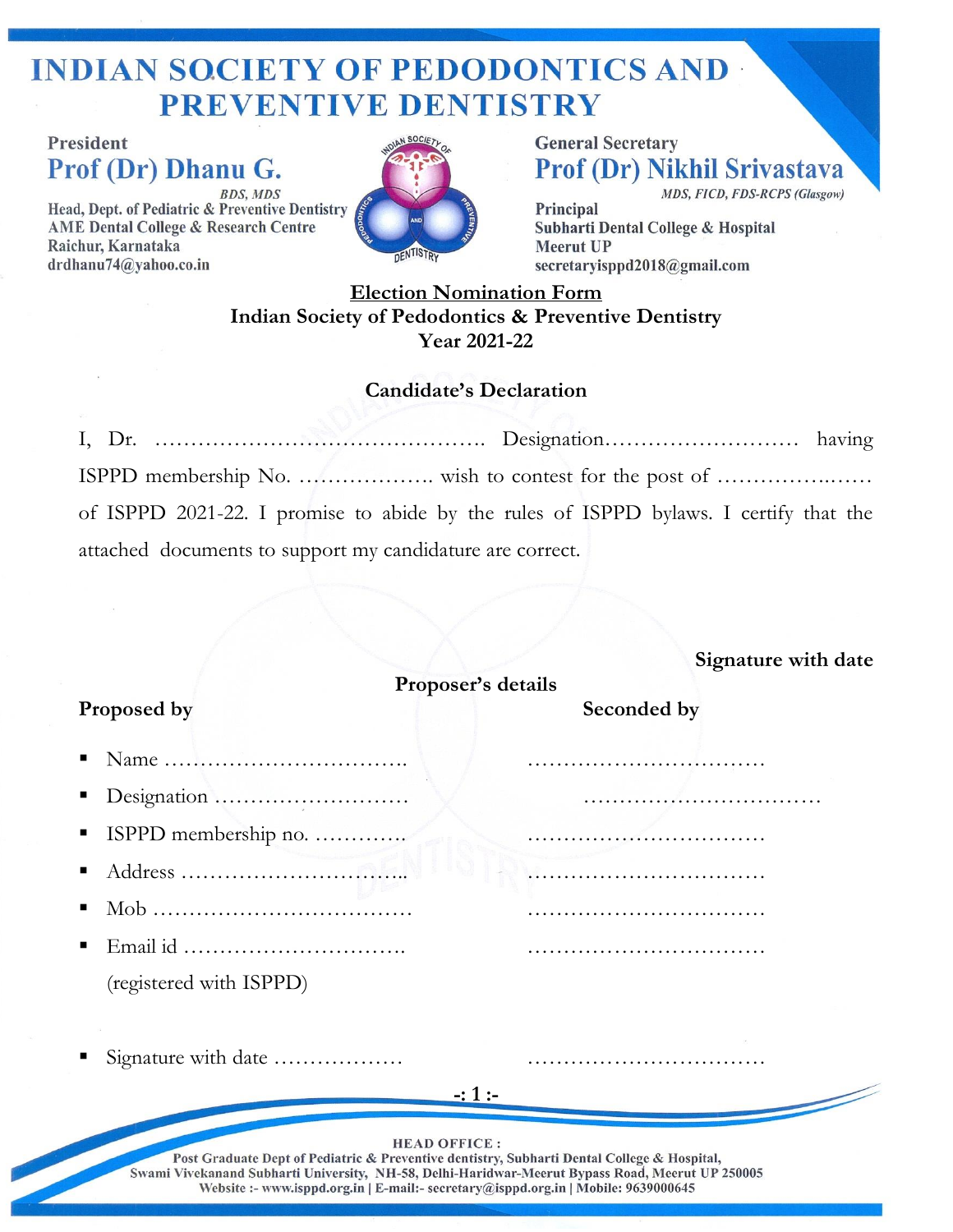## **INDIAN SOCIETY OF PEDODONTICS AND -PREVENTIVE DENTISTRY**

**President** Prof (Dr) Dhanu G. **BDS, MDS** 

Head, Dept. of Pediatric & Preventive Dentistry **AME Dental College & Research Centre** Raichur, Karnataka drdhanu74@yahoo.co.in



**General Secretary Prof (Dr) Nikhil Srivastava** MDS, FICD, FDS-RCPS (Glasgow)

Principal Subharti Dental College & Hospital **Meerut UP** secretaryisppd2018@gmail.com

## **Election Nomination Form Indian Society of Pedodontics & Preventive Dentistry Year 2021-22**

#### **Candidate's Declaration**

I, Dr. ………………………………………. Designation……………………… having ISPPD membership No. ………………. wish to contest for the post of …………….…… of ISPPD 2021-22. I promise to abide by the rules of ISPPD bylaws. I certify that the attached documents to support my candidature are correct.

|                                                                                                                                                                                                                                                                                                              | Signature with date |  |  |  |  |
|--------------------------------------------------------------------------------------------------------------------------------------------------------------------------------------------------------------------------------------------------------------------------------------------------------------|---------------------|--|--|--|--|
| Proposer's details                                                                                                                                                                                                                                                                                           |                     |  |  |  |  |
| Proposed by                                                                                                                                                                                                                                                                                                  | Seconded by         |  |  |  |  |
|                                                                                                                                                                                                                                                                                                              |                     |  |  |  |  |
|                                                                                                                                                                                                                                                                                                              |                     |  |  |  |  |
| ISPPD membership no.                                                                                                                                                                                                                                                                                         |                     |  |  |  |  |
| Address                                                                                                                                                                                                                                                                                                      |                     |  |  |  |  |
|                                                                                                                                                                                                                                                                                                              |                     |  |  |  |  |
|                                                                                                                                                                                                                                                                                                              |                     |  |  |  |  |
| (registered with ISPPD)                                                                                                                                                                                                                                                                                      |                     |  |  |  |  |
|                                                                                                                                                                                                                                                                                                              |                     |  |  |  |  |
| Signature with date                                                                                                                                                                                                                                                                                          |                     |  |  |  |  |
|                                                                                                                                                                                                                                                                                                              | $-1:1:-$            |  |  |  |  |
|                                                                                                                                                                                                                                                                                                              |                     |  |  |  |  |
| <b>HEAD OFFICE:</b><br>Post Graduate Dept of Pediatric & Preventive dentistry, Subharti Dental College & Hospital,<br>Swami Vivekanand Subharti University, NH-58, Delhi-Haridwar-Meerut Bypass Road, Meerut UP 250005<br>Website :- www.isppd.org.in   E-mail:- secretary@isppd.org.in   Mobile: 9639000645 |                     |  |  |  |  |